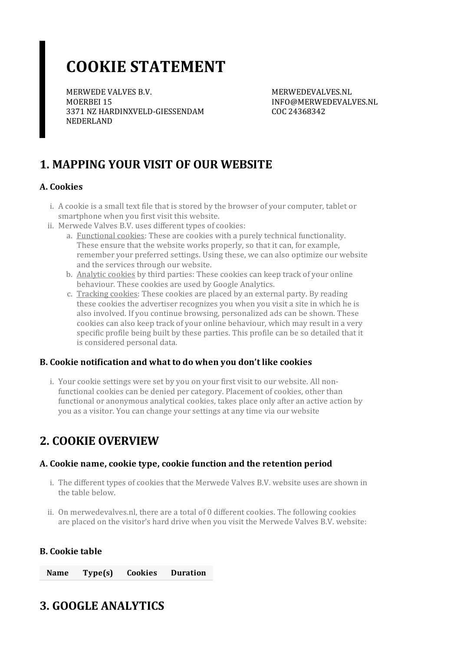# **COOKIE STATEMENT**

MERWEDE VALVES B.V. MOERBEI 15 3371 NZ HARDINXVELD-GIESSENDAM NEDERLAND

MERWEDEVALVES.NL INFO@MERWEDEVALVES.NL COC 24368342

# **1. MAPPING YOUR VISIT OF OUR WEBSITE**

#### **A. Cookies**

- i. A cookie is a small text file that is stored by the browser of your computer, tablet or smartphone when you first visit this website.
- ii. Merwede Valves B.V. uses different types of cookies:
	- a. Functional cookies: These are cookies with a purely technical functionality. These ensure that the website works properly, so that it can, for example, remember your preferred settings. Using these, we can also optimize our website and the services through our website.
	- b. Analytic cookies by third parties: These cookies can keep track of your online behaviour. These cookies are used by Google Analytics.
	- c. Tracking cookies: These cookies are placed by an external party. By reading these cookies the advertiser recognizes you when you visit a site in which he is also involved. If you continue browsing, personalized ads can be shown. These cookies can also keep track of your online behaviour, which may result in a very specific profile being built by these parties. This profile can be so detailed that it is considered personal data.

#### **B. Cookie notification and what to do when you don't like cookies**

i. Your cookie settings were set by you on your first visit to our website. All nonfunctional cookies can be denied per category. Placement of cookies, other than functional or anonymous analytical cookies, takes place only after an active action by you as a visitor. You can change your settings at any time via our website

### **2. COOKIE OVERVIEW**

### **A. Cookie name,cookie type,cookie function and the retention period**

- i. The different types of cookies that the Merwede Valves B.V. website uses are shown in the table below.
- ii. On merwedevalves.nl, there are a total of 0 different cookies. The following cookies are placed on the visitor's hard drive when you visit the Merwede Valves B.V. website:

### **B. Cookie table**

**Name Type(s) Cookies Duration**

## **3. GOOGLE ANALYTICS**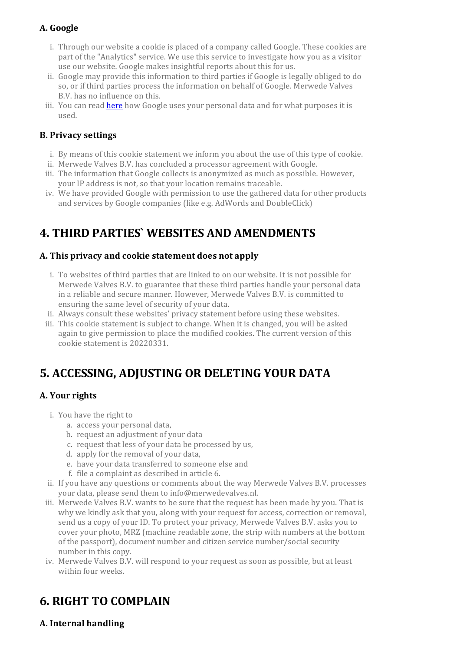### **A. Google**

- i. Through our website a cookie is placed of a company called Google. These cookies are part of the "Analytics" service. We use this service to investigate how you as a visitor use our website. Google makes insightful reports about this for us.
- ii. Google may provide this information to third parties if Google is legally obliged to do so, or if third parties process the information on behalf of Google. Merwede Valves B.V. has no influence on this.
- iii. You can read **[here](https://policies.google.com/technologies/partner-sites?hl=en)** how Google uses your personal data and for what purposes it is used.

### **B. Privacy settings**

- i. By means of this cookie statement we inform you about the use of this type of cookie.
- ii. Merwede Valves B.V. has concluded a processor agreement with Google.
- iii. The information that Google collects is anonymized as much as possible. However, your IP address is not, so that your location remains traceable.
- iv. We have provided Google with permission to use the gathered data for other products and services by Google companies (like e.g. AdWords and DoubleClick)

# **4. THIRD PARTIES` WEBSITES AND AMENDMENTS**

#### **A. This privacy and cookie statement does not apply**

- i. To websites of third parties that are linked to on our website. It is not possible for Merwede Valves B.V. to guarantee that these third parties handle your personal data in a reliable and secure manner. However, Merwede Valves B.V. is committed to ensuring the same level of security of your data.
- ii. Always consult these websites' privacy statement before using these websites.
- iii. This cookie statement is subject to change. When it is changed, you will be asked again to give permission to place the modified cookies. The current version of this cookie statement is 20220331.

## **5. ACCESSING, ADJUSTING OR DELETING YOUR DATA**

### **A.** Your rights

- i. You have the right to
	- a. access your personal data,
	- b. request an adjustment of your data
	- c. request that less of your data be processed by us,
	- d. apply forthe removal of your data,
	- e. have your data transferred to someone else and
	- f. file a complaint as described in article 6.
- ii. If you have any questions orcomments about the way Merwede Valves B.V. processes your data, please send them to info@merwedevalves.nl.
- iii. Merwede Valves B.V. wants to be sure that the request has been made by you. That is why we kindly ask that you, along with your request for access, correction or removal, send us a copy of your ID. To protect your privacy, Merwede Valves B.V. asks you to cover your photo, MRZ (machine readable zone, the strip with numbers at the bottom of the passport), document number and citizen service number/social security number in this copy.
- iv. Merwede Valves B.V. will respond to your request as soon as possible, but at least within four weeks.

# **6. RIGHT TO COMPLAIN**

### **A. Internal handling**